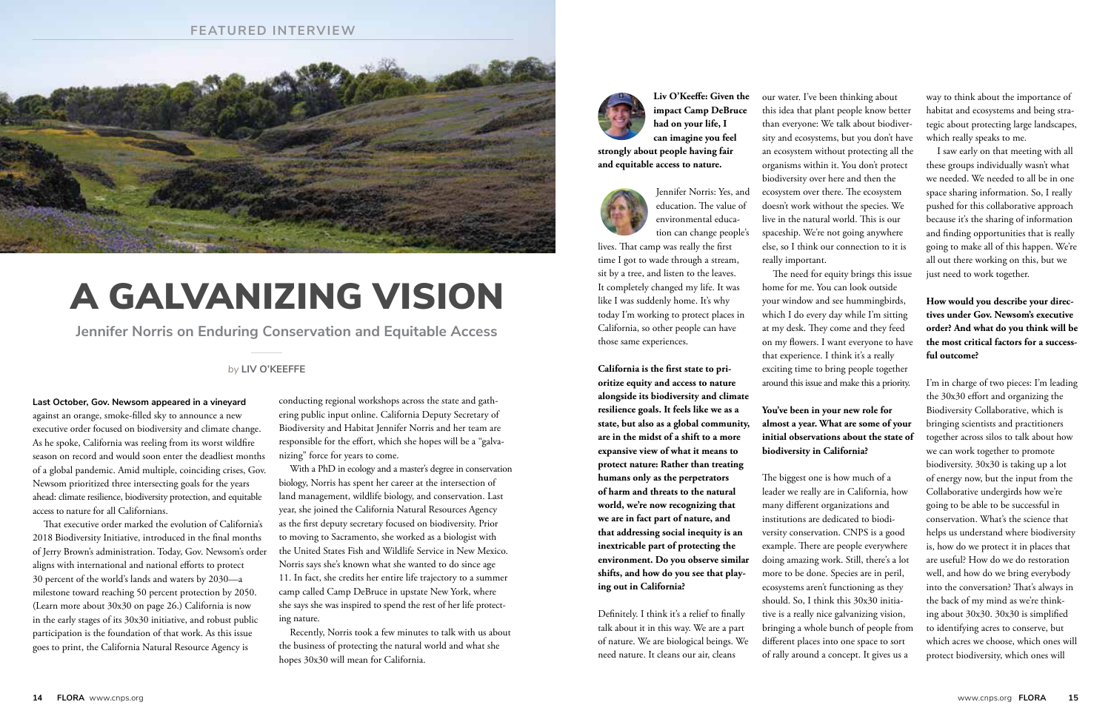#### **FEATURED INTERVIEW**



**impact Camp DeBruce had on your life, I can imagine you feel** 

**strongly about people having fair and equitable access to nature.**



Jennifer Norris: Yes, and education. The value of environmental education can change people's

lives. That camp was really the first time I got to wade through a stream, sit by a tree, and listen to the leaves. It completely changed my life. It was like I was suddenly home. It's why today I'm working to protect places in California, so other people can have those same experiences.

**California is the first state to prioritize equity and access to nature alongside its biodiversity and climate resilience goals. It feels like we as a state, but also as a global community, are in the midst of a shift to a more expansive view of what it means to protect nature: Rather than treating humans only as the perpetrators of harm and threats to the natural world, we're now recognizing that we are in fact part of nature, and that addressing social inequity is an inextricable part of protecting the environment. Do you observe similar shifts, and how do you see that playing out in California?**

Definitely. I think it's a relief to finally talk about it in this way. We are a part of nature. We are biological beings. We need nature. It cleans our air, cleans

**Last October, Gov. Newsom appeared in a vineyard** against an orange, smoke-filled sky to announce a new executive order focused on biodiversity and climate change. As he spoke, California was reeling from its worst wildfire season on record and would soon enter the deadliest months of a global pandemic. Amid multiple, coinciding crises, Gov. Newsom prioritized three intersecting goals for the years ahead: climate resilience, biodiversity protection, and equitable access to nature for all Californians.

**Liv O'Keeffe: Given the**  our water. I've been thinking about this idea that plant people know better than everyone: We talk about biodiversity and ecosystems, but you don't have an ecosystem without protecting all the organisms within it. You don't protect biodiversity over here and then the ecosystem over there. The ecosystem doesn't work without the species. We live in the natural world. This is our spaceship. We're not going anywhere else, so I think our connection to it is really important.

That executive order marked the evolution of California's 2018 Biodiversity Initiative, introduced in the final months of Jerry Brown's administration. Today, Gov. Newsom's order aligns with international and national efforts to protect 30 percent of the world's lands and waters by 2030—a milestone toward reaching 50 percent protection by 2050. (Learn more about 30x30 on page 26.) California is now in the early stages of its 30x30 initiative, and robust public participation is the foundation of that work. As this issue goes to print, the California Natural Resource Agency is

conducting regional workshops across the state and gathering public input online. California Deputy Secretary of Biodiversity and Habitat Jennifer Norris and her team are responsible for the effort, which she hopes will be a "galvanizing" force for years to come.

With a PhD in ecology and a master's degree in conservation biology, Norris has spent her career at the intersection of land management, wildlife biology, and conservation. Last year, she joined the California Natural Resources Agency as the first deputy secretary focused on biodiversity. Prior to moving to Sacramento, she worked as a biologist with the United States Fish and Wildlife Service in New Mexico. Norris says she's known what she wanted to do since age 11. In fact, she credits her entire life trajectory to a summer camp called Camp DeBruce in upstate New York, where she says she was inspired to spend the rest of her life protecting nature.

Recently, Norris took a few minutes to talk with us about the business of protecting the natural world and what she hopes 30x30 will mean for California.



The need for equity brings this issue home for me. You can look outside your window and see hummingbirds, which I do every day while I'm sitting at my desk. They come and they feed on my flowers. I want everyone to have that experience. I think it's a really exciting time to bring people together around this issue and make this a priority.

## **You've been in your new role for almost a year. What are some of your initial observations about the state of biodiversity in California?**

The biggest one is how much of a leader we really are in California, how many different organizations and institutions are dedicated to biodiversity conservation. CNPS is a good example. There are people everywhere doing amazing work. Still, there's a lot more to be done. Species are in peril, ecosystems aren't functioning as they should. So, I think this 30x30 initiative is a really nice galvanizing vision, bringing a whole bunch of people from different places into one space to sort of rally around a concept. It gives us a

way to think about the importance of habitat and ecosystems and being strategic about protecting large landscapes, which really speaks to me.

I saw early on that meeting with all these groups individually wasn't what we needed. We needed to all be in one space sharing information. So, I really pushed for this collaborative approach because it's the sharing of information and finding opportunities that is really going to make all of this happen. We're all out there working on this, but we just need to work together.

# **How would you describe your directives under Gov. Newsom's executive order? And what do you think will be the most critical factors for a successful outcome?**

I'm in charge of two pieces: I'm leading the 30x30 effort and organizing the Biodiversity Collaborative, which is bringing scientists and practitioners together across silos to talk about how we can work together to promote biodiversity. 30x30 is taking up a lot of energy now, but the input from the Collaborative undergirds how we're going to be able to be successful in conservation. What's the science that helps us understand where biodiversity is, how do we protect it in places that are useful? How do we do restoration well, and how do we bring everybody into the conversation? That's always in the back of my mind as we're thinking about 30x30. 30x30 is simplified to identifying acres to conserve, but which acres we choose, which ones will protect biodiversity, which ones will

#### *by* **LIV O'KEEFFE**

**Jennifer Norris on Enduring Conservation and Equitable Access**

# A GALVANIZING VISION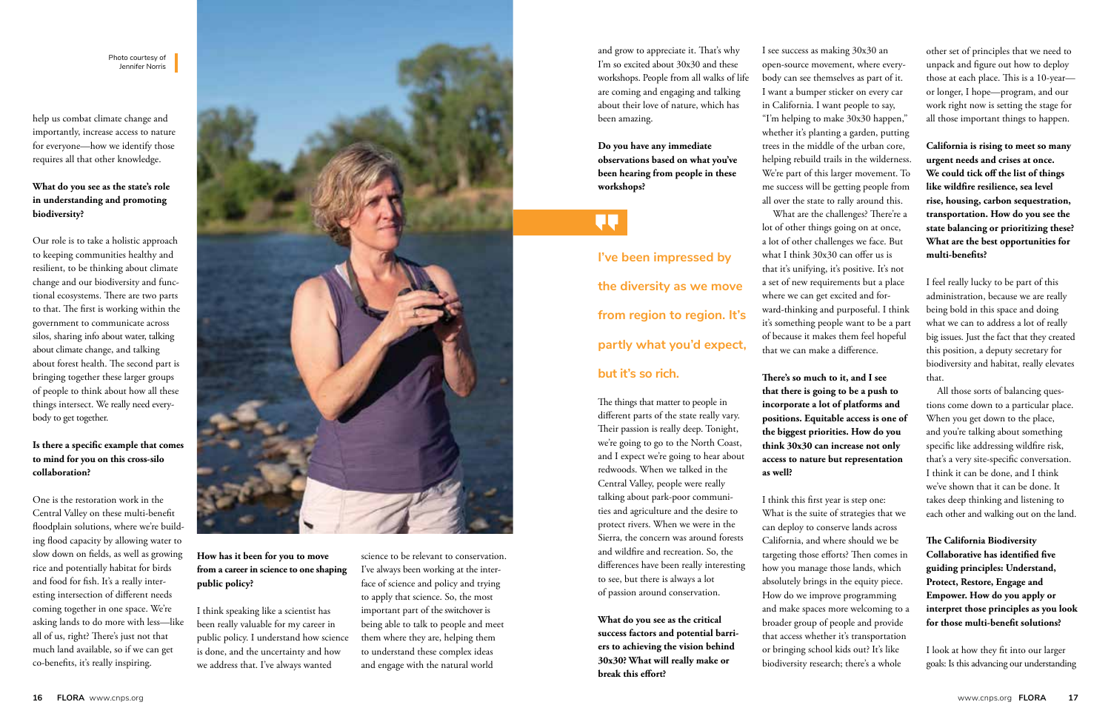help us combat climate change and importantly, increase access to nature for everyone—how we identify those requires all that other knowledge.

### **What do you see as the state's role in understanding and promoting biodiversity?**

Our role is to take a holistic approach to keeping communities healthy and resilient, to be thinking about climate change and our biodiversity and functional ecosystems. There are two parts to that. The first is working within the government to communicate across silos, sharing info about water, talking about climate change, and talking about forest health. The second part is bringing together these larger groups of people to think about how all these things intersect. We really need everybody to get together.

# **Is there a specific example that comes to mind for you on this cross-silo collaboration?**

One is the restoration work in the Central Valley on these multi-benefit floodplain solutions, where we're building flood capacity by allowing water to slow down on fields, as well as growing rice and potentially habitat for birds and food for fish. It's a really interesting intersection of different needs coming together in one space. We're asking lands to do more with less—like all of us, right? There's just not that much land available, so if we can get co-benefits, it's really inspiring.



**How has it been for you to move from a career in science to one shaping public policy?** 

I think speaking like a scientist has been really valuable for my career in public policy. I understand how science is done, and the uncertainty and how we address that. I've always wanted

and grow to appreciate it. That's why I'm so excited about 30x30 and these workshops. People from all walks of life are coming and engaging and talking about their love of nature, which has been amazing.

**Do you have any immediate observations based on what you've been hearing from people in these workshops?**

**I've been impressed by the diversity as we move from region to region. It's partly what you'd expect,** 

# **but it's so rich.**

The things that matter to people in different parts of the state really vary. Their passion is really deep. Tonight, we're going to go to the North Coast, and I expect we're going to hear about redwoods. When we talked in the Central Valley, people were really talking about park-poor communities and agriculture and the desire to protect rivers. When we were in the Sierra, the concern was around forests and wildfire and recreation. So, the differences have been really interesting to see, but there is always a lot of passion around conservation.

**What do you see as the critical success factors and potential barriers to achieving the vision behind 30x30? What will really make or break this effort?**

I see success as making 30x30 an "I'm helping to make 30x30 happen," We're part of this larger movement. To me success will be getting people from What are the challenges? There're a

open-source movement, where everybody can see themselves as part of it. I want a bumper sticker on every car in California. I want people to say, whether it's planting a garden, putting trees in the middle of the urban core, helping rebuild trails in the wilderness. all over the state to rally around this. lot of other things going on at once, a lot of other challenges we face. But what I think 30x30 can offer us is that it's unifying, it's positive. It's not a set of new requirements but a place where we can get excited and forward-thinking and purposeful. I think it's something people want to be a part of because it makes them feel hopeful that we can make a difference.

**There's so much to it, and I see that there is going to be a push to incorporate a lot of platforms and positions. Equitable access is one of the biggest priorities. How do you think 30x30 can increase not only access to nature but representation as well?**

I think this first year is step one: What is the suite of strategies that we can deploy to conserve lands across California, and where should we be targeting those efforts? Then comes in how you manage those lands, which absolutely brings in the equity piece. How do we improve programming and make spaces more welcoming to a broader group of people and provide that access whether it's transportation or bringing school kids out? It's like biodiversity research; there's a whole

other set of principles that we need to unpack and figure out how to deploy those at each place. This is a 10-year or longer, I hope—program, and our work right now is setting the stage for all those important things to happen.

**California is rising to meet so many urgent needs and crises at once. We could tick off the list of things like wildfire resilience, sea level rise, housing, carbon sequestration, transportation. How do you see the state balancing or prioritizing these? What are the best opportunities for multi-benefits?**

I feel really lucky to be part of this administration, because we are really being bold in this space and doing what we can to address a lot of really big issues. Just the fact that they created this position, a deputy secretary for biodiversity and habitat, really elevates that.

All those sorts of balancing questions come down to a particular place. When you get down to the place, and you're talking about something specific like addressing wildfire risk, that's a very site-specific conversation. I think it can be done, and I think we've shown that it can be done. It takes deep thinking and listening to each other and walking out on the land.

**The California Biodiversity Collaborative has identified five guiding principles: Understand, Protect, Restore, Engage and Empower. How do you apply or interpret those principles as you look for those multi-benefit solutions?**

I look at how they fit into our larger goals: Is this advancing our understanding

Photo courtesy of Jennifer Norris

> science to be relevant to conservation. I've always been working at the interface of science and policy and trying to apply that science. So, the most important part of the switchover is being able to talk to people and meet them where they are, helping them to understand these complex ideas and engage with the natural world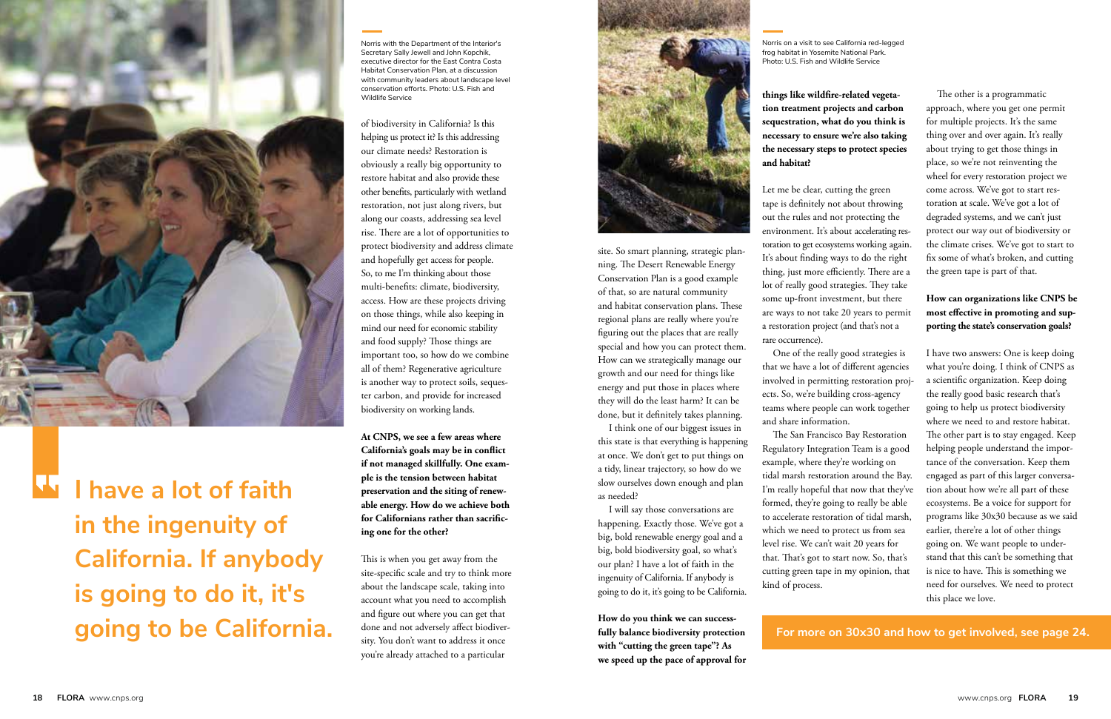of biodiversity in California? Is this helping us protect it? Is this addressing our climate needs? Restoration is obviously a really big opportunity to restore habitat and also provide these other benefits, particularly with wetland restoration, not just along rivers, but along our coasts, addressing sea level rise. There are a lot of opportunities to protect biodiversity and address climate and hopefully get access for people. So, to me I'm thinking about those multi-benefits: climate, biodiversity, access. How are these projects driving on those things, while also keeping in mind our need for economic stability and food supply? Those things are important too, so how do we combine all of them? Regenerative agriculture is another way to protect soils, sequester carbon, and provide for increased biodiversity on working lands.

**At CNPS, we see a few areas where California's goals may be in conflict if not managed skillfully. One example is the tension between habitat preservation and the siting of renewable energy. How do we achieve both for Californians rather than sacrificing one for the other?**

This is when you get away from the site-specific scale and try to think more about the landscape scale, taking into account what you need to accomplish and figure out where you can get that done and not adversely affect biodiversity. You don't want to address it once you're already attached to a particular



site. So smart planning, strategic planning. The Desert Renewable Energy Conservation Plan is a good example of that, so are natural community and habitat conservation plans. These regional plans are really where you're figuring out the places that are really special and how you can protect them. How can we strategically manage our growth and our need for things like energy and put those in places where they will do the least harm? It can be done, but it definitely takes planning.

I think one of our biggest issues in this state is that everything is happening at once. We don't get to put things on a tidy, linear trajectory, so how do we slow ourselves down enough and plan as needed?

I will say those conversations are happening. Exactly those. We've got a big, bold renewable energy goal and a big, bold biodiversity goal, so what's our plan? I have a lot of faith in the ingenuity of California. If anybody is going to do it, it's going to be California.

**How do you think we can successfully balance biodiversity protection with "cutting the green tape"? As we speed up the pace of approval for** 

**things like wildfire-related vegetation treatment projects and carbon sequestration, what do you think is necessary to ensure we're also taking the necessary steps to protect species** 

**and habitat?**

Let me be clear, cutting the green tape is definitely not about throwing out the rules and not protecting the environment. It's about accelerating restoration to get ecosystems working again. It's about finding ways to do the right thing, just more efficiently. There are a lot of really good strategies. They take some up-front investment, but there are ways to not take 20 years to permit a restoration project (and that's not a rare occurrence).

One of the really good strategies is that we have a lot of different agencies involved in permitting restoration projects. So, we're building cross-agency teams where people can work together and share information.

The San Francisco Bay Restoration Regulatory Integration Team is a good example, where they're working on tidal marsh restoration around the Bay. I'm really hopeful that now that they've formed, they're going to really be able to accelerate restoration of tidal marsh, which we need to protect us from sea level rise. We can't wait 20 years for that. That's got to start now. So, that's cutting green tape in my opinion, that

kind of process.

# **For more on 30x30 and how to get involved, see page 24.**



**I have a lot of faith in the ingenuity of California. If anybody is going to do it, it's going to be California.**

The other is a programmatic approach, where you get one permit for multiple projects. It's the same thing over and over again. It's really about trying to get those things in place, so we're not reinventing the wheel for every restoration project we come across. We've got to start restoration at scale. We've got a lot of degraded systems, and we can't just protect our way out of biodiversity or the climate crises. We've got to start to fix some of what's broken, and cutting the green tape is part of that.

# **How can organizations like CNPS be most effective in promoting and supporting the state's conservation goals?**

I have two answers: One is keep doing what you're doing. I think of CNPS as a scientific organization. Keep doing the really good basic research that's going to help us protect biodiversity where we need to and restore habitat. The other part is to stay engaged. Keep helping people understand the importance of the conversation. Keep them engaged as part of this larger conversation about how we're all part of these ecosystems. Be a voice for support for programs like 30x30 because as we said earlier, there're a lot of other things going on. We want people to understand that this can't be something that is nice to have. This is something we need for ourselves. We need to protect this place we love.

Norris with the Department of the Interior's Secretary Sally Jewell and John Kopchik, executive director for the East Contra Costa Habitat Conservation Plan, at a discussion with community leaders about landscape level conservation efforts. Photo: U.S. Fish and Wildlife Service